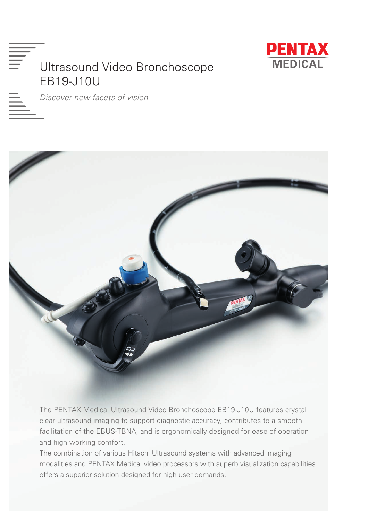



*Discover new facets of vision*



The PENTAX Medical Ultrasound Video Bronchoscope EB19-J10U features crystal clear ultrasound imaging to support diagnostic accuracy, contributes to a smooth facilitation of the EBUS-TBNA, and is ergonomically designed for ease of operation and high working comfort.

The combination of various Hitachi Ultrasound systems with advanced imaging modalities and PENTAX Medical video processors with superb visualization capabilities offers a superior solution designed for high user demands.